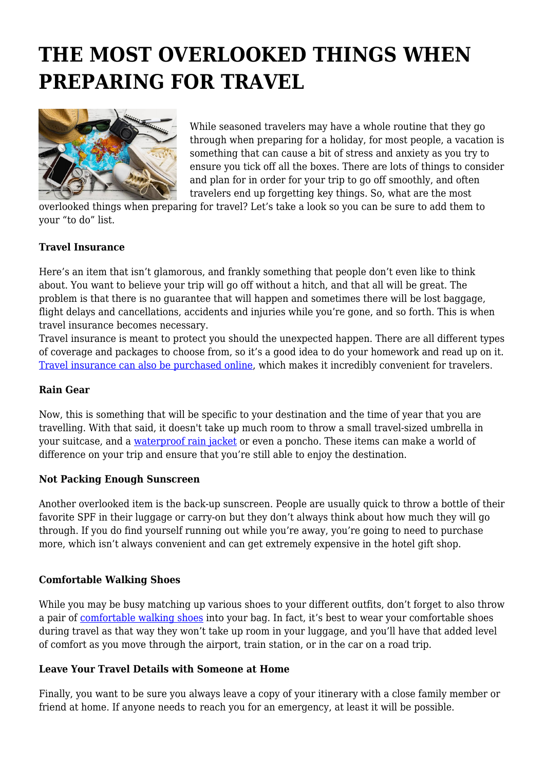# **THE MOST OVERLOOKED THINGS WHEN PREPARING FOR TRAVEL**



While seasoned travelers may have a whole routine that they go through when preparing for a holiday, for most people, a vacation is something that can cause a bit of stress and anxiety as you try to ensure you tick off all the boxes. There are lots of things to consider and plan for in order for your trip to go off smoothly, and often travelers end up forgetting key things. So, what are the most

overlooked things when preparing for travel? Let's take a look so you can be sure to add them to your "to do" list.

### **Travel Insurance**

Here's an item that isn't glamorous, and frankly something that people don't even like to think about. You want to believe your trip will go off without a hitch, and that all will be great. The problem is that there is no guarantee that will happen and sometimes there will be lost baggage, flight delays and cancellations, accidents and injuries while you're gone, and so forth. This is when travel insurance becomes necessary.

Travel insurance is meant to protect you should the unexpected happen. There are all different types of coverage and packages to choose from, so it's a good idea to do your homework and read up on it. [Travel insurance can also be purchased online](https://www.lowestrates.ca/insurance/travel), which makes it incredibly convenient for travelers.

#### **Rain Gear**

Now, this is something that will be specific to your destination and the time of year that you are travelling. With that said, it doesn't take up much room to throw a small travel-sized umbrella in your suitcase, and a [waterproof rain jacket](https://theworldpursuit.com/best-packable-rain-jacket/) or even a poncho. These items can make a world of difference on your trip and ensure that you're still able to enjoy the destination.

#### **Not Packing Enough Sunscreen**

Another overlooked item is the back-up sunscreen. People are usually quick to throw a bottle of their favorite SPF in their luggage or carry-on but they don't always think about how much they will go through. If you do find yourself running out while you're away, you're going to need to purchase more, which isn't always convenient and can get extremely expensive in the hotel gift shop.

#### **Comfortable Walking Shoes**

While you may be busy matching up various shoes to your different outfits, don't forget to also throw a pair of [comfortable walking shoes](https://thesavvybackpacker.com/travel-shoes/) into your bag. In fact, it's best to wear your comfortable shoes during travel as that way they won't take up room in your luggage, and you'll have that added level of comfort as you move through the airport, train station, or in the car on a road trip.

#### **Leave Your Travel Details with Someone at Home**

Finally, you want to be sure you always leave a copy of your itinerary with a close family member or friend at home. If anyone needs to reach you for an emergency, at least it will be possible.